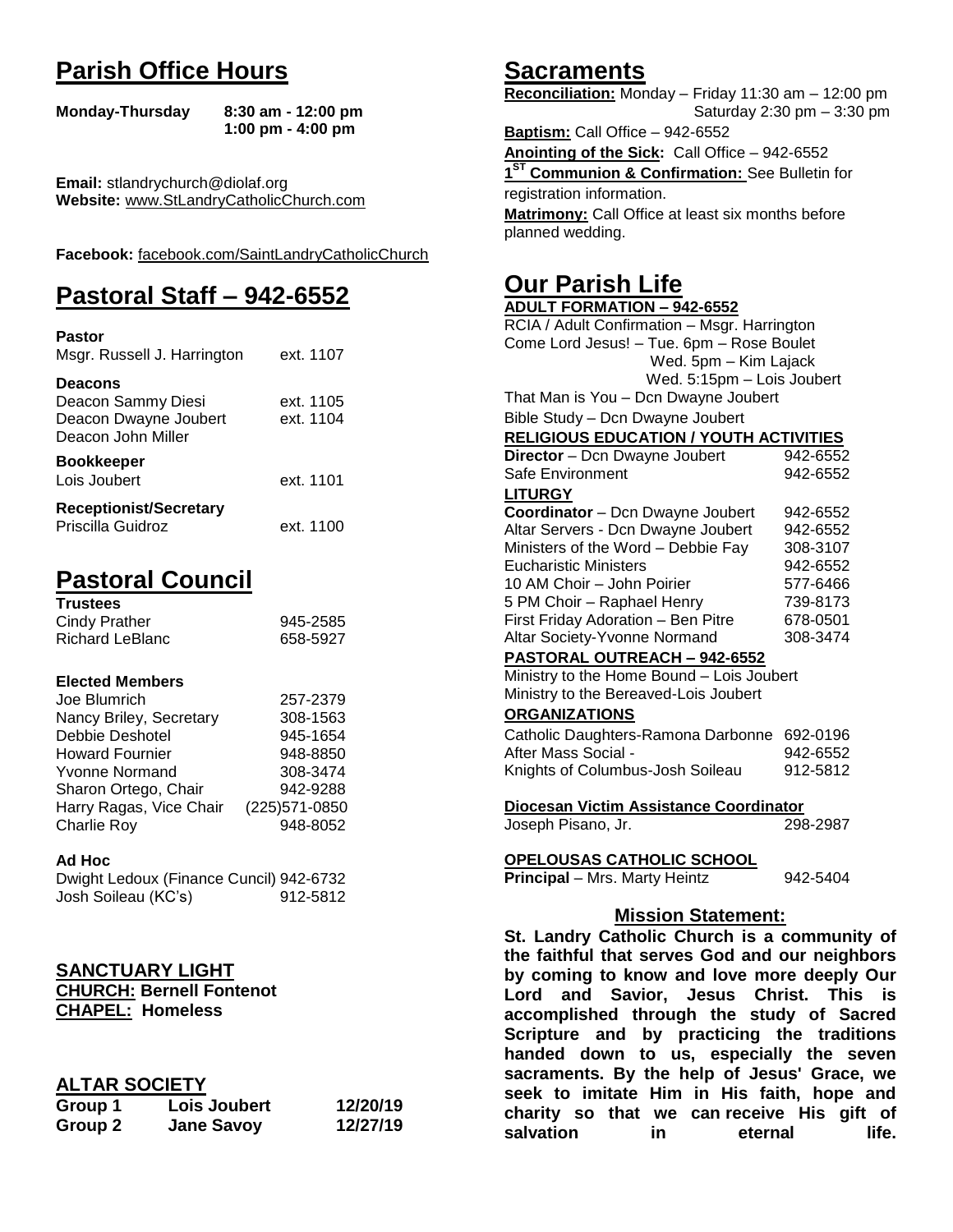# **Parish Office Hours**

```
Monday-Thursday 8:30 am - 12:00 pm
       1:00 pm - 4:00 pm
```
**Email:** stlandrychurch@diolaf.org **Website:** [www.StLandryCatholicChurch.com](http://www.stlandrycatholicchurch.com/)

**Facebook:** [facebook.com/SaintLandryCatholicChurch](http://facebook.com/SaintLandryCatholicChurch)

# **Pastoral Staff – 942-6552**

| <b>Pastor</b><br>Msgr. Russell J. Harrington                                        | ext. 1107              |
|-------------------------------------------------------------------------------------|------------------------|
| <b>Deacons</b><br>Deacon Sammy Diesi<br>Deacon Dwayne Joubert<br>Deacon John Miller | ext. 1105<br>ext. 1104 |
| <b>Bookkeeper</b><br>Lois Joubert                                                   | ext. 1101              |
| <b>Receptionist/Secretary</b><br>Priscilla Guidroz                                  | ext. 1100              |

# **Pastoral Council**

| <b>Trustees</b> |          |
|-----------------|----------|
| Cindy Prather   | 945-2585 |
| Richard LeBlanc | 658-5927 |

#### **Elected Members**

| Joe Blumrich            | 257-2379       |
|-------------------------|----------------|
| Nancy Briley, Secretary | 308-1563       |
| Debbie Deshotel         | 945-1654       |
| <b>Howard Fournier</b>  | 948-8850       |
| <b>Yvonne Normand</b>   | 308-3474       |
| Sharon Ortego, Chair    | 942-9288       |
| Harry Ragas, Vice Chair | (225) 571-0850 |
| Charlie Roy             | 948-8052       |

#### **Ad Hoc**

| Dwight Ledoux (Finance Cuncil) 942-6732 |          |
|-----------------------------------------|----------|
| Josh Soileau (KC's)                     | 912-5812 |

#### **SANCTUARY LIGHT**

**CHURCH: Bernell Fontenot CHAPEL: Homeless**

#### **ALTAR SOCIETY**

| Group 1 | <b>Lois Joubert</b> | 12/20/19 |
|---------|---------------------|----------|
| Group 2 | <b>Jane Savoy</b>   | 12/27/19 |

# **Sacraments**

**Reconciliation:** Monday – Friday 11:30 am – 12:00 pm Saturday 2:30 pm – 3:30 pm

**Baptism:** Call Office – 942-6552 **Anointing of the Sick:** Call Office – 942-6552 **1 ST Communion & Confirmation:** See Bulletin for registration information. **Matrimony:** Call Office at least six months before planned wedding.

# **Our Parish Life**

| <b>ADULT FORMATION - 942-6552</b>              |          |  |
|------------------------------------------------|----------|--|
| RCIA / Adult Confirmation - Msgr. Harrington   |          |  |
| Come Lord Jesus! - Tue. 6pm - Rose Boulet      |          |  |
| Wed. 5pm - Kim Lajack                          |          |  |
| Wed. 5:15pm - Lois Joubert                     |          |  |
| That Man is You - Dcn Dwayne Joubert           |          |  |
| Bible Study - Dcn Dwayne Joubert               |          |  |
| <b>RELIGIOUS EDUCATION / YOUTH ACTIVITIES</b>  |          |  |
| <b>Director</b> - Dcn Dwayne Joubert           | 942-6552 |  |
| Safe Environment                               | 942-6552 |  |
| <b>LITURGY</b>                                 |          |  |
| Coordinator - Dcn Dwayne Joubert               | 942-6552 |  |
| Altar Servers - Dcn Dwayne Joubert             | 942-6552 |  |
| Ministers of the Word - Debbie Fay             | 308-3107 |  |
| <b>Eucharistic Ministers</b>                   | 942-6552 |  |
| 10 AM Choir – John Poirier                     | 577-6466 |  |
| 5 PM Choir - Raphael Henry                     | 739-8173 |  |
| First Friday Adoration - Ben Pitre             | 678-0501 |  |
| Altar Society-Yvonne Normand                   | 308-3474 |  |
| PASTORAL OUTREACH - 942-6552                   |          |  |
| Ministry to the Home Bound - Lois Joubert      |          |  |
| Ministry to the Bereaved-Lois Joubert          |          |  |
| <b>ORGANIZATIONS</b>                           |          |  |
| Catholic Daughters-Ramona Darbonne 692-0196    |          |  |
| After Mass Social -                            | 942-6552 |  |
| Knights of Columbus-Josh Soileau               | 912-5812 |  |
| Diocesan Victim Assistance Coordinator         |          |  |
| Joseph Pisano, Jr.                             | 298-2987 |  |
| <b>OPELOUSAS CATHOLIC SCHOOL</b>               |          |  |
| Principal - Mrs. Marty Heintz                  | 942-5404 |  |
|                                                |          |  |
| <b>Mission Statement:</b>                      |          |  |
| St. Landry Catholic Church is a community of   |          |  |
| the faithful that serves God and our neighbors |          |  |
| by coming to know and love more deeply Our     |          |  |
| Lord and Savior, Jesus Christ. This is         |          |  |
| accomplished through the study of Sacred       |          |  |
| Scripture and by practicing the traditions     |          |  |
| down to us, especially the seven<br>handed     |          |  |
|                                                |          |  |
| sacraments. By the help of Jesus' Grace, we    |          |  |
| seek to imitate Him in His faith, hope and     |          |  |

**charity so that we can receive His gift of salvation** in eternal life.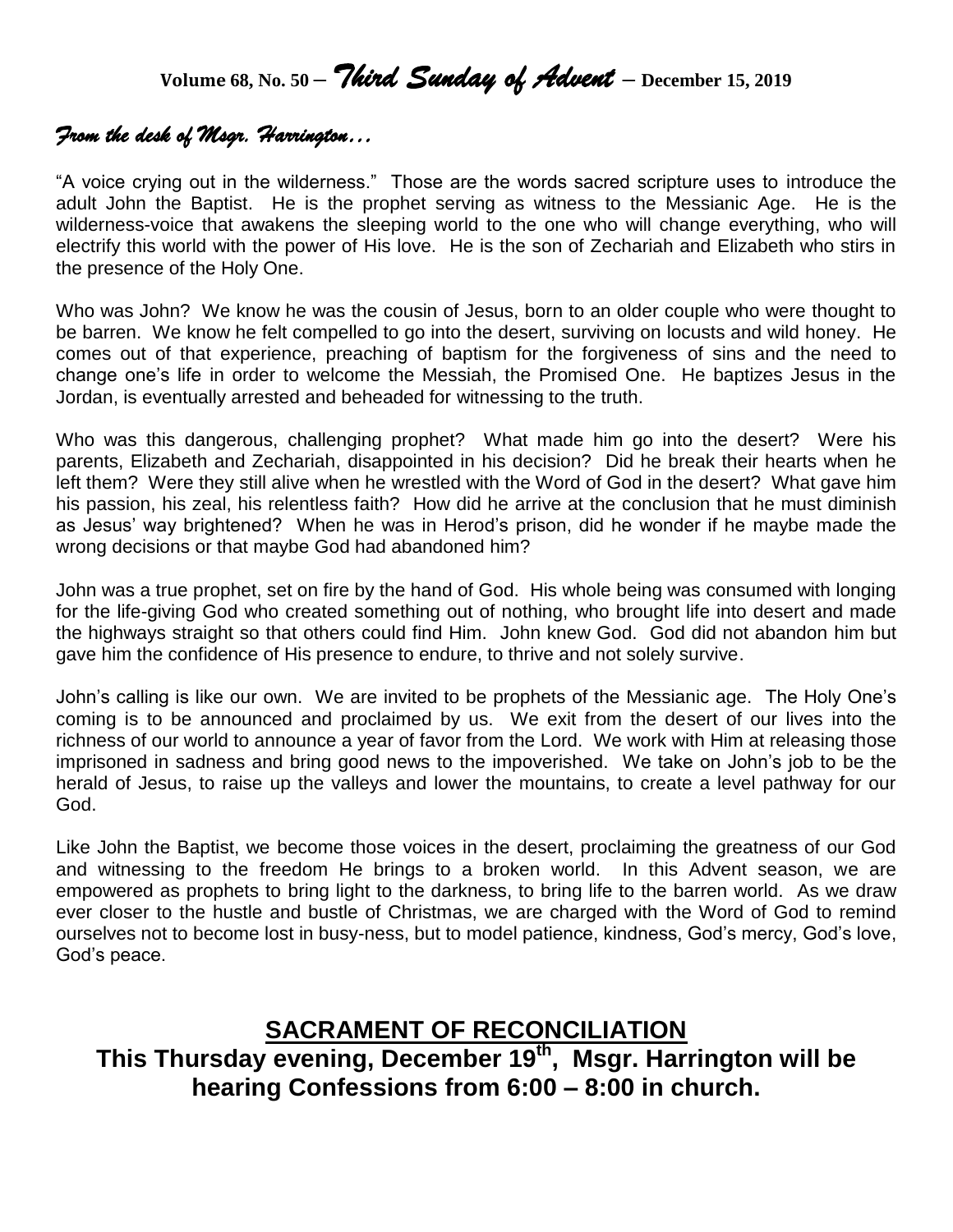**Volume 68, No. 50 –** *Third Sunday of Advent* **– December 15, <sup>2019</sup>**

# *From the desk of Msgr. Harrington…*

"A voice crying out in the wilderness." Those are the words sacred scripture uses to introduce the adult John the Baptist. He is the prophet serving as witness to the Messianic Age. He is the wilderness-voice that awakens the sleeping world to the one who will change everything, who will electrify this world with the power of His love. He is the son of Zechariah and Elizabeth who stirs in the presence of the Holy One.

Who was John? We know he was the cousin of Jesus, born to an older couple who were thought to be barren. We know he felt compelled to go into the desert, surviving on locusts and wild honey. He comes out of that experience, preaching of baptism for the forgiveness of sins and the need to change one's life in order to welcome the Messiah, the Promised One. He baptizes Jesus in the Jordan, is eventually arrested and beheaded for witnessing to the truth.

Who was this dangerous, challenging prophet? What made him go into the desert? Were his parents, Elizabeth and Zechariah, disappointed in his decision? Did he break their hearts when he left them? Were they still alive when he wrestled with the Word of God in the desert? What gave him his passion, his zeal, his relentless faith? How did he arrive at the conclusion that he must diminish as Jesus' way brightened? When he was in Herod's prison, did he wonder if he maybe made the wrong decisions or that maybe God had abandoned him?

John was a true prophet, set on fire by the hand of God. His whole being was consumed with longing for the life-giving God who created something out of nothing, who brought life into desert and made the highways straight so that others could find Him. John knew God. God did not abandon him but gave him the confidence of His presence to endure, to thrive and not solely survive.

John's calling is like our own. We are invited to be prophets of the Messianic age. The Holy One's coming is to be announced and proclaimed by us. We exit from the desert of our lives into the richness of our world to announce a year of favor from the Lord. We work with Him at releasing those imprisoned in sadness and bring good news to the impoverished. We take on John's job to be the herald of Jesus, to raise up the valleys and lower the mountains, to create a level pathway for our God.

Like John the Baptist, we become those voices in the desert, proclaiming the greatness of our God and witnessing to the freedom He brings to a broken world. In this Advent season, we are empowered as prophets to bring light to the darkness, to bring life to the barren world. As we draw ever closer to the hustle and bustle of Christmas, we are charged with the Word of God to remind ourselves not to become lost in busy-ness, but to model patience, kindness, God's mercy, God's love, God's peace.

# **SACRAMENT OF RECONCILIATION This Thursday evening, December 19th , Msgr. Harrington will be hearing Confessions from 6:00 – 8:00 in church.**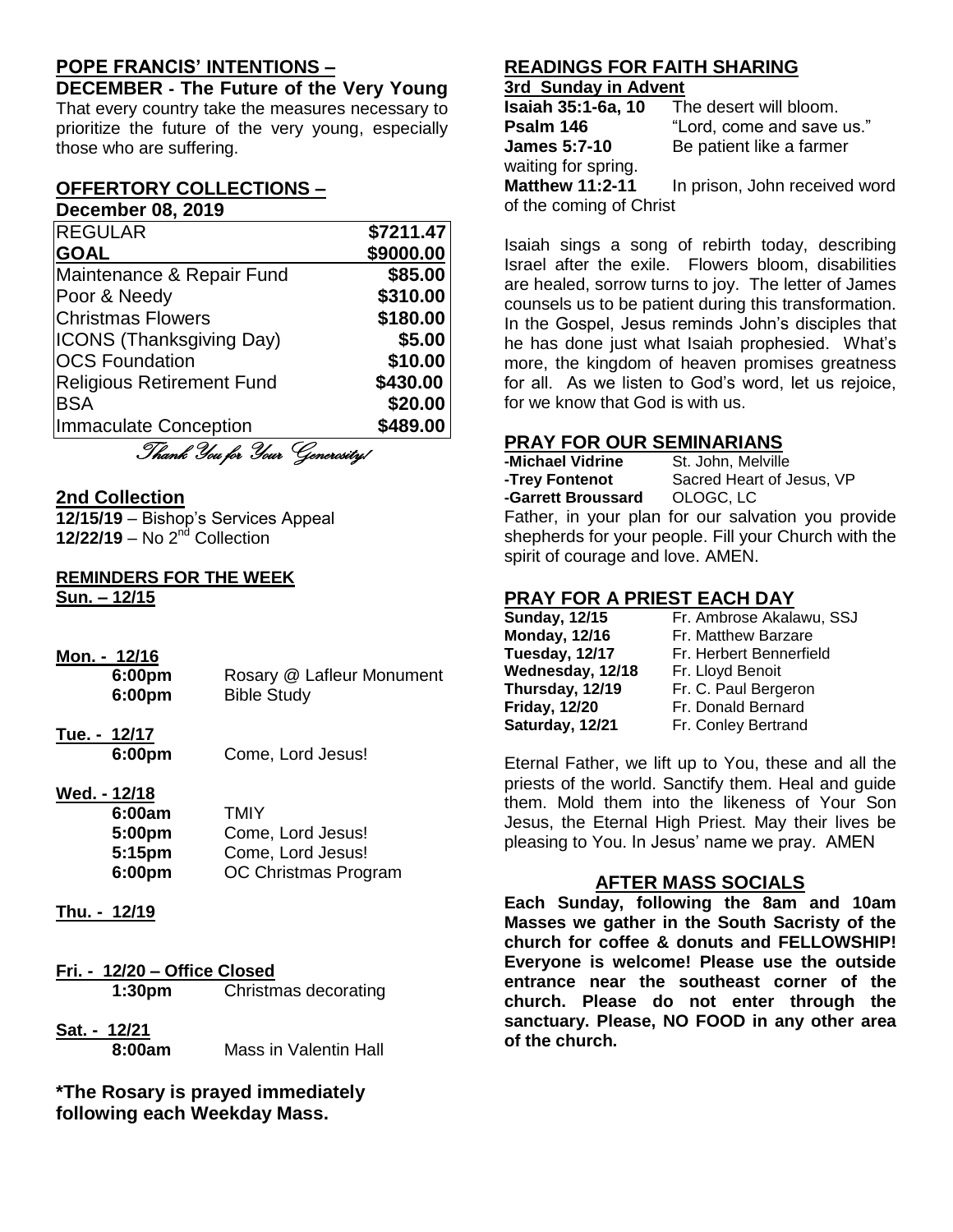## **POPE FRANCIS' INTENTIONS –**

**DECEMBER - The Future of the Very Young** That every country take the measures necessary to prioritize the future of the very young, especially those who are suffering.

#### **OFFERTORY COLLECTIONS – December 08, 2019**

| <b>REGULAR</b>                   | \$7211.47 |
|----------------------------------|-----------|
| <b>GOAL</b>                      | \$9000.00 |
| Maintenance & Repair Fund        | \$85.00   |
| Poor & Needy                     | \$310.00  |
| <b>Christmas Flowers</b>         | \$180.00  |
| <b>ICONS (Thanksgiving Day)</b>  | \$5.00    |
| <b>OCS Foundation</b>            | \$10.00   |
| <b>Religious Retirement Fund</b> | \$430.00  |
| <b>BSA</b>                       | \$20.00   |
| Immaculate Conception            | \$489.00  |
|                                  |           |

Thank You for Your Generosity!

#### **2nd Collection**

**12/15/19** – Bishop's Services Appeal **12/22/19** – No 2<sup>nd</sup> Collection

#### **REMINDERS FOR THE WEEK Sun. – 12/15**

- **Mon. - 12/16 6:00pm** Rosary @ Lafleur Monument **6:00pm** Bible Study
- **Tue. - 12/17 6:00pm** Come, Lord Jesus!
- **Wed. - 12/18**

| 6:00am | <b>TMIY</b>          |
|--------|----------------------|
| 5:00pm | Come, Lord Jesus!    |
| 5:15pm | Come, Lord Jesus!    |
| 6:00pm | OC Christmas Program |

- **Thu. - 12/19**
- **Fri. - 12/20 – Office Closed 1:30pm** Christmas decorating
- **Sat. - 12/21**

**8:00am** Mass in Valentin Hall

**\*The Rosary is prayed immediately following each Weekday Mass.**

# **READINGS FOR FAITH SHARING**

### **3rd Sunday in Advent**

| <b>Isaiah 35:1-6a, 10</b> | The desert will bloom.        |
|---------------------------|-------------------------------|
| Psalm 146                 | "Lord, come and save us."     |
| <b>James 5:7-10</b>       | Be patient like a farmer      |
| waiting for spring.       |                               |
| <b>Matthew 11:2-11</b>    | In prison, John received word |
| of the coming of Christ   |                               |

Isaiah sings a song of rebirth today, describing Israel after the exile. Flowers bloom, disabilities are healed, sorrow turns to joy. The letter of James counsels us to be patient during this transformation. In the Gospel, Jesus reminds John's disciples that he has done just what Isaiah prophesied. What's more, the kingdom of heaven promises greatness for all. As we listen to God's word, let us rejoice, for we know that God is with us.

### **PRAY FOR OUR SEMINARIANS**

**-Michael Vidrine** St. John, Melville<br>**-Trey Fontenot** Sacred Heart of J Sacred Heart of Jesus, VP **-Garrett Broussard** OLOGC, LC Father, in your plan for our salvation you provide shepherds for your people. Fill your Church with the spirit of courage and love. AMEN.

### **PRAY FOR A PRIEST EACH DAY**

| <b>Sunday, 12/15</b> | Fr. Ambrose Akalawu, SSJ |
|----------------------|--------------------------|
| <b>Monday, 12/16</b> | Fr. Matthew Barzare      |
| Tuesday, 12/17       | Fr. Herbert Bennerfield  |
| Wednesday, 12/18     | Fr. Lloyd Benoit         |
| Thursday, 12/19      | Fr. C. Paul Bergeron     |
| <b>Friday, 12/20</b> | Fr. Donald Bernard       |
| Saturday, 12/21      | Fr. Conley Bertrand      |

Eternal Father, we lift up to You, these and all the priests of the world. Sanctify them. Heal and guide them. Mold them into the likeness of Your Son Jesus, the Eternal High Priest. May their lives be pleasing to You. In Jesus' name we pray. AMEN

## **AFTER MASS SOCIALS**

**Each Sunday, following the 8am and 10am Masses we gather in the South Sacristy of the church for coffee & donuts and FELLOWSHIP! Everyone is welcome! Please use the outside entrance near the southeast corner of the church. Please do not enter through the sanctuary. Please, NO FOOD in any other area of the church.**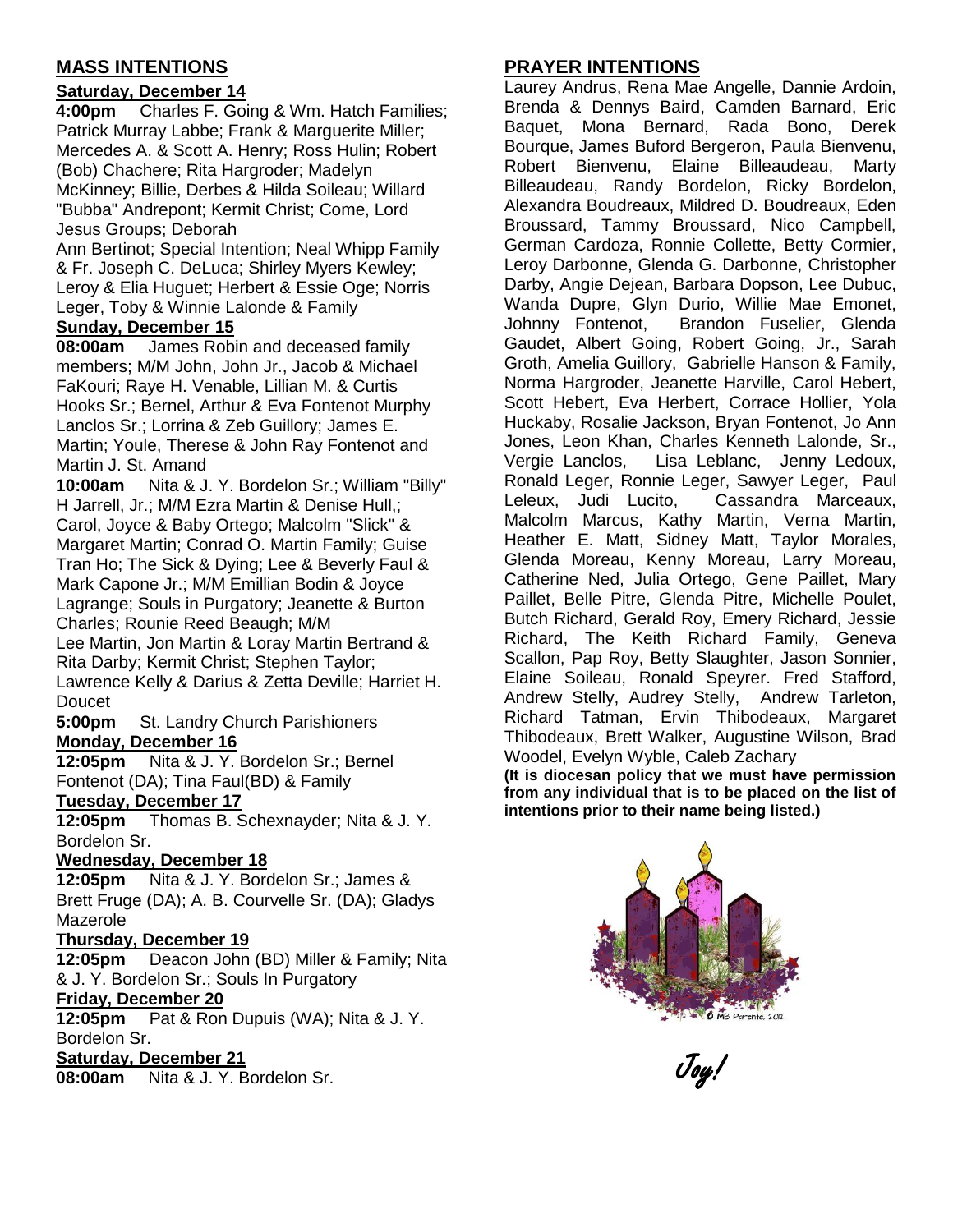## **MASS INTENTIONS**

#### **Saturday, December 14**

**4:00pm** Charles F. Going & Wm. Hatch Families; Patrick Murray Labbe; Frank & Marguerite Miller; Mercedes A. & Scott A. Henry; Ross Hulin; Robert (Bob) Chachere; Rita Hargroder; Madelyn McKinney; Billie, Derbes & Hilda Soileau; Willard "Bubba" Andrepont; Kermit Christ; Come, Lord Jesus Groups; Deborah

Ann Bertinot; Special Intention; Neal Whipp Family & Fr. Joseph C. DeLuca; Shirley Myers Kewley; Leroy & Elia Huguet; Herbert & Essie Oge; Norris Leger, Toby & Winnie Lalonde & Family

#### **Sunday, December 15**

**08:00am** James Robin and deceased family members; M/M John, John Jr., Jacob & Michael FaKouri; Raye H. Venable, Lillian M. & Curtis Hooks Sr.; Bernel, Arthur & Eva Fontenot Murphy Lanclos Sr.; Lorrina & Zeb Guillory; James E. Martin; Youle, Therese & John Ray Fontenot and Martin J. St. Amand

**10:00am** Nita & J. Y. Bordelon Sr.; William "Billy" H Jarrell, Jr.; M/M Ezra Martin & Denise Hull,; Carol, Joyce & Baby Ortego; Malcolm "Slick" & Margaret Martin; Conrad O. Martin Family; Guise Tran Ho; The Sick & Dying; Lee & Beverly Faul & Mark Capone Jr.; M/M Emillian Bodin & Joyce Lagrange; Souls in Purgatory; Jeanette & Burton Charles; Rounie Reed Beaugh; M/M Lee Martin, Jon Martin & Loray Martin Bertrand & Rita Darby; Kermit Christ; Stephen Taylor;

Lawrence Kelly & Darius & Zetta Deville; Harriet H. Doucet

**5:00pm** St. Landry Church Parishioners **Monday, December 16**

**12:05pm** Nita & J. Y. Bordelon Sr.; Bernel Fontenot (DA); Tina Faul(BD) & Family

#### **Tuesday, December 17**

**12:05pm** Thomas B. Schexnayder; Nita & J. Y. Bordelon Sr.

#### **Wednesday, December 18**

**12:05pm** Nita & J. Y. Bordelon Sr.; James & Brett Fruge (DA); A. B. Courvelle Sr. (DA); Gladys Mazerole

#### **Thursday, December 19**

**12:05pm** Deacon John (BD) Miller & Family; Nita & J. Y. Bordelon Sr.; Souls In Purgatory

#### **Friday, December 20**

**12:05pm** Pat & Ron Dupuis (WA); Nita & J. Y. Bordelon Sr.

#### **Saturday, December 21**

**08:00am** Nita & J. Y. Bordelon Sr.

# **PRAYER INTENTIONS**

Laurey Andrus, Rena Mae Angelle, Dannie Ardoin, Brenda & Dennys Baird, Camden Barnard, Eric Baquet, Mona Bernard, Rada Bono, Derek Bourque, James Buford Bergeron, Paula Bienvenu, Robert Bienvenu, Elaine Billeaudeau, Marty Billeaudeau, Randy Bordelon, Ricky Bordelon, Alexandra Boudreaux, Mildred D. Boudreaux, Eden Broussard, Tammy Broussard, Nico Campbell, German Cardoza, Ronnie Collette, Betty Cormier, Leroy Darbonne, Glenda G. Darbonne, Christopher Darby, Angie Dejean, Barbara Dopson, Lee Dubuc, Wanda Dupre, Glyn Durio, Willie Mae Emonet, Johnny Fontenot, Brandon Fuselier, Glenda Gaudet, Albert Going, Robert Going, Jr., Sarah Groth, Amelia Guillory, Gabrielle Hanson & Family, Norma Hargroder, Jeanette Harville, Carol Hebert, Scott Hebert, Eva Herbert, Corrace Hollier, Yola Huckaby, Rosalie Jackson, Bryan Fontenot, Jo Ann Jones, Leon Khan, Charles Kenneth Lalonde, Sr., Vergie Lanclos, Lisa Leblanc, Jenny Ledoux, Ronald Leger, Ronnie Leger, Sawyer Leger, Paul Leleux, Judi Lucito, Cassandra Marceaux, Malcolm Marcus, Kathy Martin, Verna Martin, Heather E. Matt, Sidney Matt, Taylor Morales, Glenda Moreau, Kenny Moreau, Larry Moreau, Catherine Ned, Julia Ortego, Gene Paillet, Mary Paillet, Belle Pitre, Glenda Pitre, Michelle Poulet, Butch Richard, Gerald Roy, Emery Richard, Jessie Richard, The Keith Richard Family, Geneva Scallon, Pap Roy, Betty Slaughter, Jason Sonnier, Elaine Soileau, Ronald Speyrer. Fred Stafford, Andrew Stelly, Audrey Stelly, Andrew Tarleton, Richard Tatman, Ervin Thibodeaux, Margaret Thibodeaux, Brett Walker, Augustine Wilson, Brad Woodel, Evelyn Wyble, Caleb Zachary

**(It is diocesan policy that we must have permission from any individual that is to be placed on the list of intentions prior to their name being listed.)**



Joy!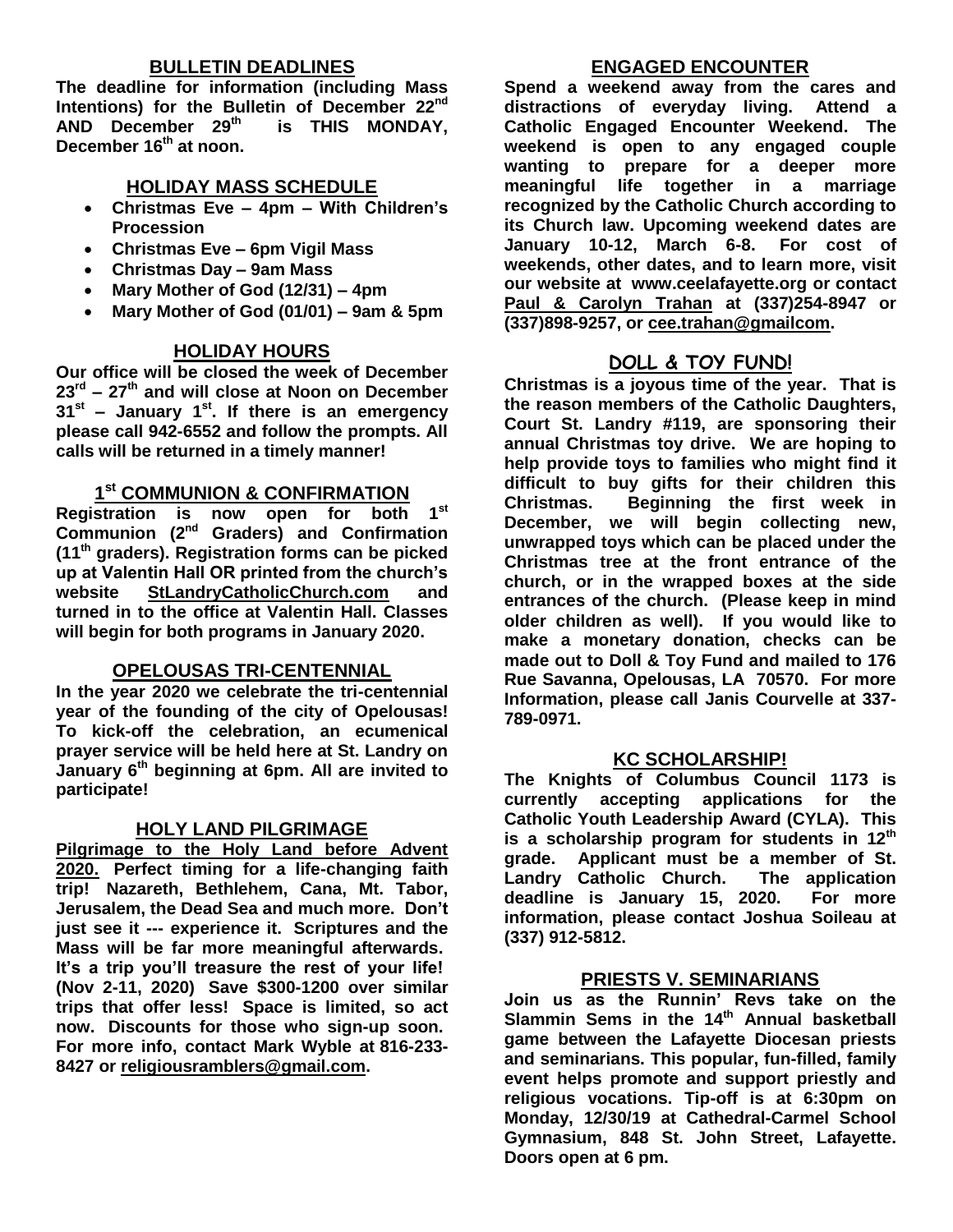### **BULLETIN DEADLINES**

**The deadline for information (including Mass Intentions) for the Bulletin of December 22nd AND December 29th is THIS MONDAY, December 16th at noon.** 

#### **HOLIDAY MASS SCHEDULE**

- **Christmas Eve – 4pm – With Children's Procession**
- **Christmas Eve – 6pm Vigil Mass**
- **Christmas Day – 9am Mass**
- **Mary Mother of God (12/31) – 4pm**
- **Mary Mother of God (01/01) – 9am & 5pm**

### **HOLIDAY HOURS**

**Our office will be closed the week of December 23rd – 27th and will close at Noon on December 31st – January 1 st. If there is an emergency please call 942-6552 and follow the prompts. All calls will be returned in a timely manner!**

## **1 st COMMUNION & CONFIRMATION**

**Registration is now open for both 1st Communion (2nd Graders) and Confirmation (11th graders). Registration forms can be picked up at Valentin Hall OR printed from the church's website StLandryCatholicChurch.com and turned in to the office at Valentin Hall. Classes will begin for both programs in January 2020.**

#### **OPELOUSAS TRI-CENTENNIAL**

**In the year 2020 we celebrate the tri-centennial year of the founding of the city of Opelousas! To kick-off the celebration, an ecumenical prayer service will be held here at St. Landry on January 6th beginning at 6pm. All are invited to participate!**

#### **HOLY LAND PILGRIMAGE**

**Pilgrimage to the Holy Land before Advent 2020. Perfect timing for a life-changing faith trip! Nazareth, Bethlehem, Cana, Mt. Tabor, Jerusalem, the Dead Sea and much more. Don't just see it --- experience it. Scriptures and the Mass will be far more meaningful afterwards. It's a trip you'll treasure the rest of your life! (Nov 2-11, 2020) Save \$300-1200 over similar trips that offer less! Space is limited, so act now. Discounts for those who sign-up soon. For more info, contact Mark Wyble at 816-233- 8427 or [religiousramblers@gmail.com.](mailto:religiousramblers@gmail.com)**

#### **ENGAGED ENCOUNTER**

**Spend a weekend away from the cares and distractions of everyday living. Attend a Catholic Engaged Encounter Weekend. The weekend is open to any engaged couple wanting to prepare for a deeper more meaningful life together in a marriage recognized by the Catholic Church according to its Church law. Upcoming weekend dates are January 10-12, March 6-8. For cost of weekends, other dates, and to learn more, visit our website at www.ceelafayette.org or contact Paul & Carolyn Trahan at (337)254-8947 or (337)898-9257, or [cee.trahan@gmailcom.](mailto:cee.trahan@gmailcom)**

### **DOLL & TOY FUND!**

**Christmas is a joyous time of the year. That is the reason members of the Catholic Daughters, Court St. Landry #119, are sponsoring their annual Christmas toy drive. We are hoping to help provide toys to families who might find it difficult to buy gifts for their children this Christmas. Beginning the first week in December, we will begin collecting new, unwrapped toys which can be placed under the Christmas tree at the front entrance of the church, or in the wrapped boxes at the side entrances of the church. (Please keep in mind older children as well). If you would like to make a monetary donation, checks can be made out to Doll & Toy Fund and mailed to 176 Rue Savanna, Opelousas, LA 70570. For more Information, please call Janis Courvelle at 337- 789-0971.** 

#### **KC SCHOLARSHIP!**

**The Knights of Columbus Council 1173 is currently accepting applications for the Catholic Youth Leadership Award (CYLA). This is a scholarship program for students in 12th grade. Applicant must be a member of St. Landry Catholic Church. The application deadline is January 15, 2020. For more information, please contact Joshua Soileau at (337) 912-5812.**

#### **PRIESTS V. SEMINARIANS**

**Join us as the Runnin' Revs take on the Slammin Sems in the 14 th Annual basketball game between the Lafayette Diocesan priests and seminarians. This popular, fun-filled, family event helps promote and support priestly and religious vocations. Tip-off is at 6:30pm on Monday, 12/30/19 at Cathedral-Carmel School Gymnasium, 848 St. John Street, Lafayette. Doors open at 6 pm.**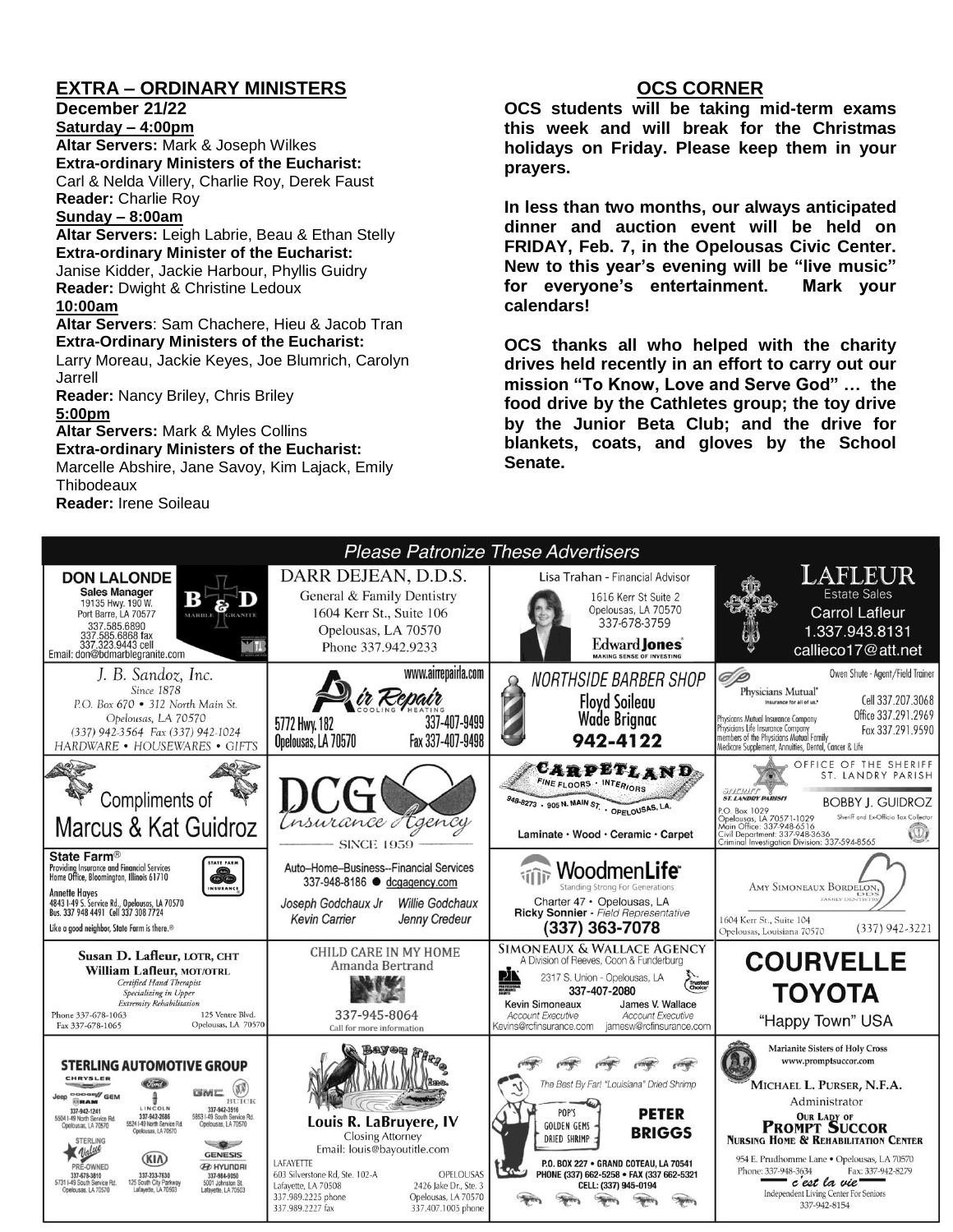## **EXTRA – ORDINARY MINISTERS**

**December 21/22**

**Saturday – 4:00pm Altar Servers:** Mark & Joseph Wilkes **Extra-ordinary Ministers of the Eucharist:**  Carl & Nelda Villery, Charlie Roy, Derek Faust **Reader:** Charlie Roy

#### **Sunday – 8:00am**

**Altar Servers:** Leigh Labrie, Beau & Ethan Stelly **Extra-ordinary Minister of the Eucharist:** Janise Kidder, Jackie Harbour, Phyllis Guidry **Reader:** Dwight & Christine Ledoux **10:00am**

**Altar Servers**: Sam Chachere, Hieu & Jacob Tran **Extra-Ordinary Ministers of the Eucharist:**

Larry Moreau, Jackie Keyes, Joe Blumrich, Carolyn Jarrell

**Reader:** Nancy Briley, Chris Briley **5:00pm** 

**Altar Servers:** Mark & Myles Collins **Extra-ordinary Ministers of the Eucharist:** Marcelle Abshire, Jane Savoy, Kim Lajack, Emily **Thibodeaux** 

**Reader:** Irene Soileau

#### **OCS CORNER**

**OCS students will be taking mid-term exams this week and will break for the Christmas holidays on Friday. Please keep them in your prayers.**

**In less than two months, our always anticipated dinner and auction event will be held on FRIDAY, Feb. 7, in the Opelousas Civic Center. New to this year's evening will be "live music" for everyone's entertainment. Mark your calendars!**

**OCS thanks all who helped with the charity drives held recently in an effort to carry out our mission "To Know, Love and Serve God" … the food drive by the Cathletes group; the toy drive by the Junior Beta Club; and the drive for blankets, coats, and gloves by the School Senate.**